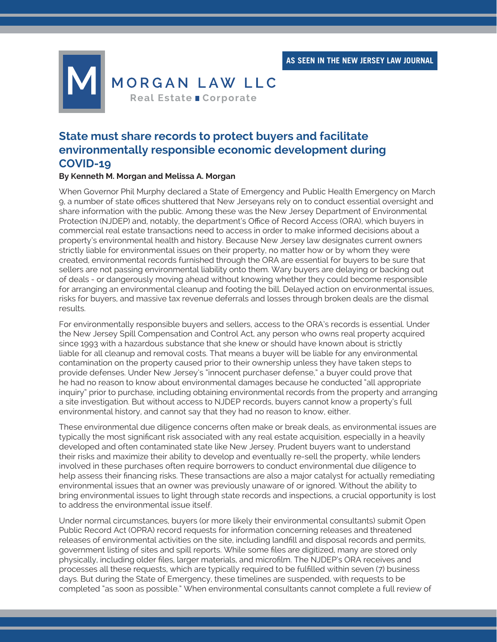**AS SEEN IN THE NEW JERSEY LAW JOURNAL**



## **State must share records to protect buyers and facilitate environmentally responsible economic development during COVID-19**

## **By Kenneth M. Morgan and Melissa A. Morgan**

When Governor Phil Murphy declared a State of Emergency and Public Health Emergency on March 9, a number of state offices shuttered that New Jerseyans rely on to conduct essential oversight and share information with the public. Among these was the New Jersey Department of Environmental Protection (NJDEP) and, notably, the department's Office of Record Access (ORA), which buyers in commercial real estate transactions need to access in order to make informed decisions about a property's environmental health and history. Because New Jersey law designates current owners strictly liable for environmental issues on their property, no matter how or by whom they were created, environmental records furnished through the ORA are essential for buyers to be sure that sellers are not passing environmental liability onto them. Wary buyers are delaying or backing out of deals - or dangerously moving ahead without knowing whether they could become responsible for arranging an environmental cleanup and footing the bill. Delayed action on environmental issues, risks for buyers, and massive tax revenue deferrals and losses through broken deals are the dismal results.

For environmentally responsible buyers and sellers, access to the ORA's records is essential. Under the New Jersey Spill Compensation and Control Act, any person who owns real property acquired since 1993 with a hazardous substance that she knew or should have known about is strictly liable for all cleanup and removal costs. That means a buyer will be liable for any environmental contamination on the property caused prior to their ownership unless they have taken steps to provide defenses. Under New Jersey's "innocent purchaser defense," a buyer could prove that he had no reason to know about environmental damages because he conducted "all appropriate inquiry" prior to purchase, including obtaining environmental records from the property and arranging a site investigation. But without access to NJDEP records, buyers cannot know a property's full environmental history, and cannot say that they had no reason to know, either.

These environmental due diligence concerns often make or break deals, as environmental issues are typically the most significant risk associated with any real estate acquisition, especially in a heavily developed and often contaminated state like New Jersey. Prudent buyers want to understand their risks and maximize their ability to develop and eventually re-sell the property, while lenders involved in these purchases often require borrowers to conduct environmental due diligence to help assess their financing risks. These transactions are also a major catalyst for actually remediating environmental issues that an owner was previously unaware of or ignored. Without the ability to bring environmental issues to light through state records and inspections, a crucial opportunity is lost to address the environmental issue itself.

Under normal circumstances, buyers (or more likely their environmental consultants) submit Open Public Record Act (OPRA) record requests for information concerning releases and threatened releases of environmental activities on the site, including landfill and disposal records and permits, government listing of sites and spill reports. While some files are digitized, many are stored only physically, including older files, larger materials, and microfilm. The NJDEP's ORA receives and processes all these requests, which are typically required to be fulfilled within seven (7) business days. But during the State of Emergency, these timelines are suspended, with requests to be completed "as soon as possible." When environmental consultants cannot complete a full review of